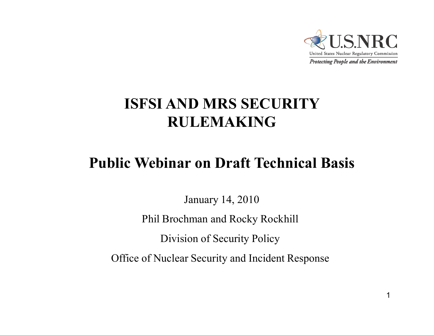

#### **ISFSI AND MRS SECURITY RULEMAKING**

#### **Public Webinar on Draft Technical Basis**

January 14, 2010

Phil Brochman and Rocky Rockhill

Division of Security Policy

Office of Nuclear Security and Incident Response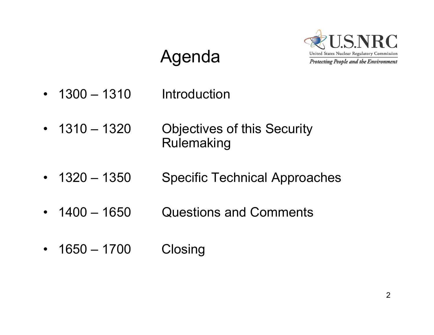

## Agenda

- $\bullet$  $1300 - 1310$ **Introduction**
- $\cdot$  1310 1320 **Objectives of this Security** Rulemaking
- $1320 1350$ **Specific Technical Approaches**
- •1400 – 1650 Questions and Comments
- $\bullet$ 1650 – 1700 Closing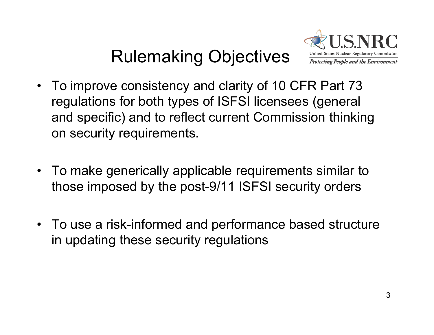## Rulemaking Objectives



- To improve consistency and clarity of 10 CFR Part 73 regulations for both types of ISFSI licensees (general and specific) and to reflect current Commission thinking on security requirements.
- To make generically applicable requirements similar to those imposed by the post-9/11 ISFSI security orders
- To use a risk-informed and performance based structure in updating these security regulations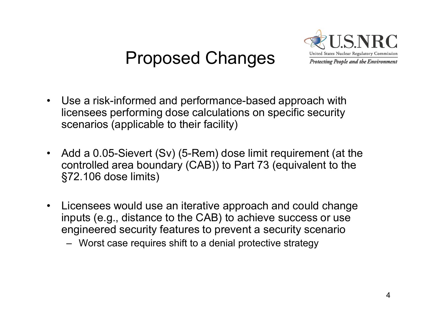### Proposed Changes



- $\bullet$  Use a risk-informed and performance-based approach with licensees performing dose calculations on specific security scenarios (applicable to their facility)
- $\bullet$  Add a 0.05-Sievert (Sv) (5-Rem) dose limit requirement (at the controlled area boundary (CAB)) to Part 73 (equivalent to the §72.106 dose limits)
- $\bullet$  Licensees would use an iterative approach and could change inputs (e.g., distance to the CAB) to achieve success or use engineered security features to prevent a security scenario

– Worst case requires shift to a denial protective strategy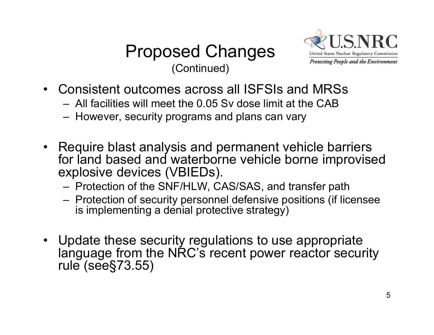



- Consistent outcomes across all ISFSIs and MRSs
	- All facilities will meet the 0.05 Sv dose limit at the CAB
	- However, security programs and plans can vary
- Require blast analysis and permanent vehicle barriers for land based and waterborne vehicle borne improvised explosive devices (VBIEDs).
	- Protection of the SNF/HLW, CAS/SAS, and transfer path
	- Protection of security personnel defensive positions (if licensee is implementing a denial protective strategy)
- Update these security regulations to use appropriate language from the NRC's recent power reactor security rule (see §73.55)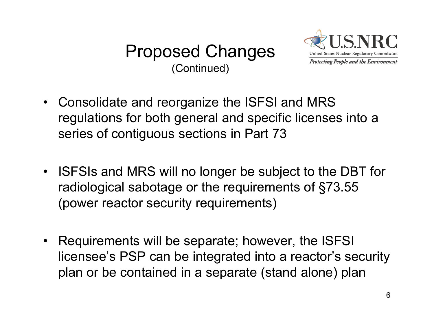



- Consolidate and reorganize the ISFSI and MRS regulations for both general and specific licenses into a series of contiguous sections in Part 73
- ISFSIs and MRS will no longer be subject to the DBT for radiological sabotage or the requirements of §73.55 (power reactor security requirements)
- $\bullet$  Requirements will be separate; however, the ISFSI licensee's PSP can be integrated into a reactor's security plan or be contained in a separate (stand alone) plan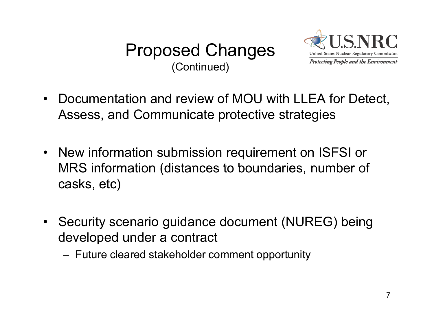



- $\bullet$  Documentation and review of MOU with LLEA for Detect, Assess, and Communicate protective strategies
- New information submission requirement on ISFSI or MRS information (distances to boundaries, number of<br>casks, etc)
- Security scenario guidance document (NUREG) being developed under a contract
	- Future cleared stakeholder comment opportunity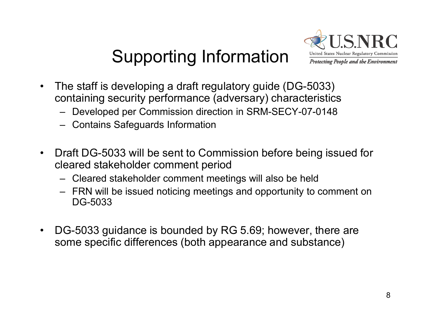# Supporting Information



- • The staff is developing a draft regulatory guide (DG-5033) containing security performance (adversary) characteristics
	- Developed per Commission direction in SRM-SECY-07-0148
	- Contains Safeguards Information
- • Draft DG-5033 will be sent to Commission before being issued for cleared stakeholder comment period
	- Cleared stakeholder comment meetings will also be held
	- FRN will be issued noticing meetings and opportunity to comment on DG-5033
- • DG-5033 guidance is bounded by RG 5.69; however, there are some specific differences (both appearance and substance)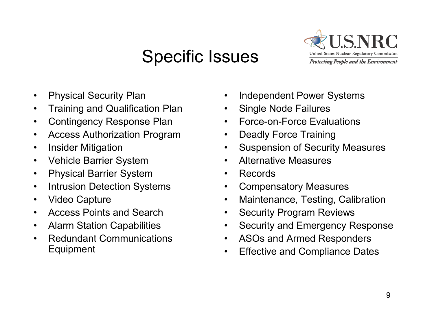### Specific Issues



- $\bullet$ Physical Security Plan
- $\bullet$ Training and Qualification Plan
- $\bullet$ Contingency Response Plan
- $\bullet$ Access Authorization Program
- $\bullet$ Insider Mitigation
- $\bullet$ Vehicle Barrier System
- $\bullet$ Physical Barrier System
- $\bullet$ Intrusion Detection Systems
- $\bullet$ Video Capture
- $\bullet$ Access Points and Search
- $\bullet$ Alarm Station Capabilities
- • Redundant Communications Equipment
- •Independent Power Systems
- •Single Node Failures
- •Force-on-Force Evaluations
- •Deadly Force Training
- $\bullet$ Suspension of Security Measures
- $\bullet$ Alternative Measures
- $\bullet$ Records
- $\bullet$ Compensatory Measures
- $\bullet$ Maintenance, Testing, Calibration
- •Security Program Reviews
- $\bullet$ Security and Emergency Response
- $\bullet$ ASOs and Armed Responders
- •Effective and Compliance Dates